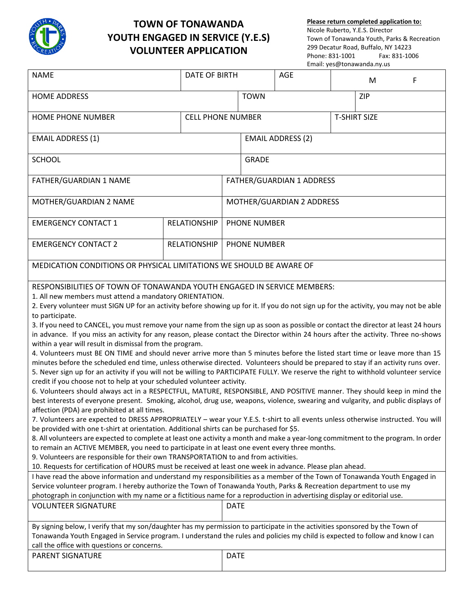

## **TOWN OF TONAWANDA YOUTH ENGAGED IN SERVICE (Y.E.S) VOLUNTEER APPLICATION**

**Please return completed application to:** Nicole Ruberto, Y.E.S. Director Town of Tonawanda Youth, Parks & Recreation 299 Decatur Road, Buffalo, NY 14223 Phone: 831-1001 Email: yes@tonawanda.ny.us

| <b>NAME</b>                                                                                                                                                                                                                                                                                                                                                                                                                                                                                                                                                                                                                                                                                                                                                                                                                                                                                                                                                                                                                                                                                                                                                                                                                                                                                                                                                                                                                                                                                                                                                                                                                                                                                                                                                                                                                                                                                                                                                                                                                                                                                                                                                                                                                                                                                                                                                                                                                                                                                                                                                                                                                                                                       | <b>DATE OF BIRTH</b>     |                           | <b>AGE</b> |                     | M          | F |
|-----------------------------------------------------------------------------------------------------------------------------------------------------------------------------------------------------------------------------------------------------------------------------------------------------------------------------------------------------------------------------------------------------------------------------------------------------------------------------------------------------------------------------------------------------------------------------------------------------------------------------------------------------------------------------------------------------------------------------------------------------------------------------------------------------------------------------------------------------------------------------------------------------------------------------------------------------------------------------------------------------------------------------------------------------------------------------------------------------------------------------------------------------------------------------------------------------------------------------------------------------------------------------------------------------------------------------------------------------------------------------------------------------------------------------------------------------------------------------------------------------------------------------------------------------------------------------------------------------------------------------------------------------------------------------------------------------------------------------------------------------------------------------------------------------------------------------------------------------------------------------------------------------------------------------------------------------------------------------------------------------------------------------------------------------------------------------------------------------------------------------------------------------------------------------------------------------------------------------------------------------------------------------------------------------------------------------------------------------------------------------------------------------------------------------------------------------------------------------------------------------------------------------------------------------------------------------------------------------------------------------------------------------------------------------------|--------------------------|---------------------------|------------|---------------------|------------|---|
| <b>HOME ADDRESS</b>                                                                                                                                                                                                                                                                                                                                                                                                                                                                                                                                                                                                                                                                                                                                                                                                                                                                                                                                                                                                                                                                                                                                                                                                                                                                                                                                                                                                                                                                                                                                                                                                                                                                                                                                                                                                                                                                                                                                                                                                                                                                                                                                                                                                                                                                                                                                                                                                                                                                                                                                                                                                                                                               |                          | <b>TOWN</b>               |            |                     | <b>ZIP</b> |   |
| HOME PHONE NUMBER                                                                                                                                                                                                                                                                                                                                                                                                                                                                                                                                                                                                                                                                                                                                                                                                                                                                                                                                                                                                                                                                                                                                                                                                                                                                                                                                                                                                                                                                                                                                                                                                                                                                                                                                                                                                                                                                                                                                                                                                                                                                                                                                                                                                                                                                                                                                                                                                                                                                                                                                                                                                                                                                 | <b>CELL PHONE NUMBER</b> |                           |            | <b>T-SHIRT SIZE</b> |            |   |
| <b>EMAIL ADDRESS (1)</b>                                                                                                                                                                                                                                                                                                                                                                                                                                                                                                                                                                                                                                                                                                                                                                                                                                                                                                                                                                                                                                                                                                                                                                                                                                                                                                                                                                                                                                                                                                                                                                                                                                                                                                                                                                                                                                                                                                                                                                                                                                                                                                                                                                                                                                                                                                                                                                                                                                                                                                                                                                                                                                                          |                          | <b>EMAIL ADDRESS (2)</b>  |            |                     |            |   |
| <b>SCHOOL</b>                                                                                                                                                                                                                                                                                                                                                                                                                                                                                                                                                                                                                                                                                                                                                                                                                                                                                                                                                                                                                                                                                                                                                                                                                                                                                                                                                                                                                                                                                                                                                                                                                                                                                                                                                                                                                                                                                                                                                                                                                                                                                                                                                                                                                                                                                                                                                                                                                                                                                                                                                                                                                                                                     |                          | <b>GRADE</b>              |            |                     |            |   |
| FATHER/GUARDIAN 1 NAME                                                                                                                                                                                                                                                                                                                                                                                                                                                                                                                                                                                                                                                                                                                                                                                                                                                                                                                                                                                                                                                                                                                                                                                                                                                                                                                                                                                                                                                                                                                                                                                                                                                                                                                                                                                                                                                                                                                                                                                                                                                                                                                                                                                                                                                                                                                                                                                                                                                                                                                                                                                                                                                            |                          | FATHER/GUARDIAN 1 ADDRESS |            |                     |            |   |
| MOTHER/GUARDIAN 2 NAME                                                                                                                                                                                                                                                                                                                                                                                                                                                                                                                                                                                                                                                                                                                                                                                                                                                                                                                                                                                                                                                                                                                                                                                                                                                                                                                                                                                                                                                                                                                                                                                                                                                                                                                                                                                                                                                                                                                                                                                                                                                                                                                                                                                                                                                                                                                                                                                                                                                                                                                                                                                                                                                            |                          | MOTHER/GUARDIAN 2 ADDRESS |            |                     |            |   |
| <b>EMERGENCY CONTACT 1</b>                                                                                                                                                                                                                                                                                                                                                                                                                                                                                                                                                                                                                                                                                                                                                                                                                                                                                                                                                                                                                                                                                                                                                                                                                                                                                                                                                                                                                                                                                                                                                                                                                                                                                                                                                                                                                                                                                                                                                                                                                                                                                                                                                                                                                                                                                                                                                                                                                                                                                                                                                                                                                                                        | <b>RELATIONSHIP</b>      | <b>PHONE NUMBER</b>       |            |                     |            |   |
| <b>EMERGENCY CONTACT 2</b>                                                                                                                                                                                                                                                                                                                                                                                                                                                                                                                                                                                                                                                                                                                                                                                                                                                                                                                                                                                                                                                                                                                                                                                                                                                                                                                                                                                                                                                                                                                                                                                                                                                                                                                                                                                                                                                                                                                                                                                                                                                                                                                                                                                                                                                                                                                                                                                                                                                                                                                                                                                                                                                        | <b>RELATIONSHIP</b>      | <b>PHONE NUMBER</b>       |            |                     |            |   |
| MEDICATION CONDITIONS OR PHYSICAL LIMITATIONS WE SHOULD BE AWARE OF                                                                                                                                                                                                                                                                                                                                                                                                                                                                                                                                                                                                                                                                                                                                                                                                                                                                                                                                                                                                                                                                                                                                                                                                                                                                                                                                                                                                                                                                                                                                                                                                                                                                                                                                                                                                                                                                                                                                                                                                                                                                                                                                                                                                                                                                                                                                                                                                                                                                                                                                                                                                               |                          |                           |            |                     |            |   |
| RESPONSIBILITIES OF TOWN OF TONAWANDA YOUTH ENGAGED IN SERVICE MEMBERS:<br>1. All new members must attend a mandatory ORIENTATION.<br>2. Every volunteer must SIGN UP for an activity before showing up for it. If you do not sign up for the activity, you may not be able<br>to participate.<br>3. If you need to CANCEL, you must remove your name from the sign up as soon as possible or contact the director at least 24 hours<br>in advance. If you miss an activity for any reason, please contact the Director within 24 hours after the activity. Three no-shows<br>within a year will result in dismissal from the program.<br>4. Volunteers must BE ON TIME and should never arrive more than 5 minutes before the listed start time or leave more than 15<br>minutes before the scheduled end time, unless otherwise directed. Volunteers should be prepared to stay if an activity runs over.<br>5. Never sign up for an activity if you will not be willing to PARTICIPATE FULLY. We reserve the right to withhold volunteer service<br>credit if you choose not to help at your scheduled volunteer activity.<br>6. Volunteers should always act in a RESPECTFUL, MATURE, RESPONSIBLE, AND POSITIVE manner. They should keep in mind the<br>best interests of everyone present. Smoking, alcohol, drug use, weapons, violence, swearing and vulgarity, and public displays of<br>affection (PDA) are prohibited at all times.<br>7. Volunteers are expected to DRESS APPROPRIATELY - wear your Y.E.S. t-shirt to all events unless otherwise instructed. You will<br>be provided with one t-shirt at orientation. Additional shirts can be purchased for \$5.<br>8. All volunteers are expected to complete at least one activity a month and make a year-long commitment to the program. In order<br>to remain an ACTIVE MEMBER, you need to participate in at least one event every three months.<br>9. Volunteers are responsible for their own TRANSPORTATION to and from activities.<br>10. Requests for certification of HOURS must be received at least one week in advance. Please plan ahead.<br>I have read the above information and understand my responsibilities as a member of the Town of Tonawanda Youth Engaged in<br>Service volunteer program. I hereby authorize the Town of Tonawanda Youth, Parks & Recreation department to use my<br>photograph in conjunction with my name or a fictitious name for a reproduction in advertising display or editorial use.<br><b>VOLUNTEER SIGNATURE</b><br><b>DATE</b><br>By signing below, I verify that my son/daughter has my permission to participate in the activities sponsored by the Town of |                          |                           |            |                     |            |   |
| Tonawanda Youth Engaged in Service program. I understand the rules and policies my child is expected to follow and know I can<br>call the office with questions or concerns.                                                                                                                                                                                                                                                                                                                                                                                                                                                                                                                                                                                                                                                                                                                                                                                                                                                                                                                                                                                                                                                                                                                                                                                                                                                                                                                                                                                                                                                                                                                                                                                                                                                                                                                                                                                                                                                                                                                                                                                                                                                                                                                                                                                                                                                                                                                                                                                                                                                                                                      |                          |                           |            |                     |            |   |
| PARENT SIGNATURE                                                                                                                                                                                                                                                                                                                                                                                                                                                                                                                                                                                                                                                                                                                                                                                                                                                                                                                                                                                                                                                                                                                                                                                                                                                                                                                                                                                                                                                                                                                                                                                                                                                                                                                                                                                                                                                                                                                                                                                                                                                                                                                                                                                                                                                                                                                                                                                                                                                                                                                                                                                                                                                                  |                          | <b>DATE</b>               |            |                     |            |   |